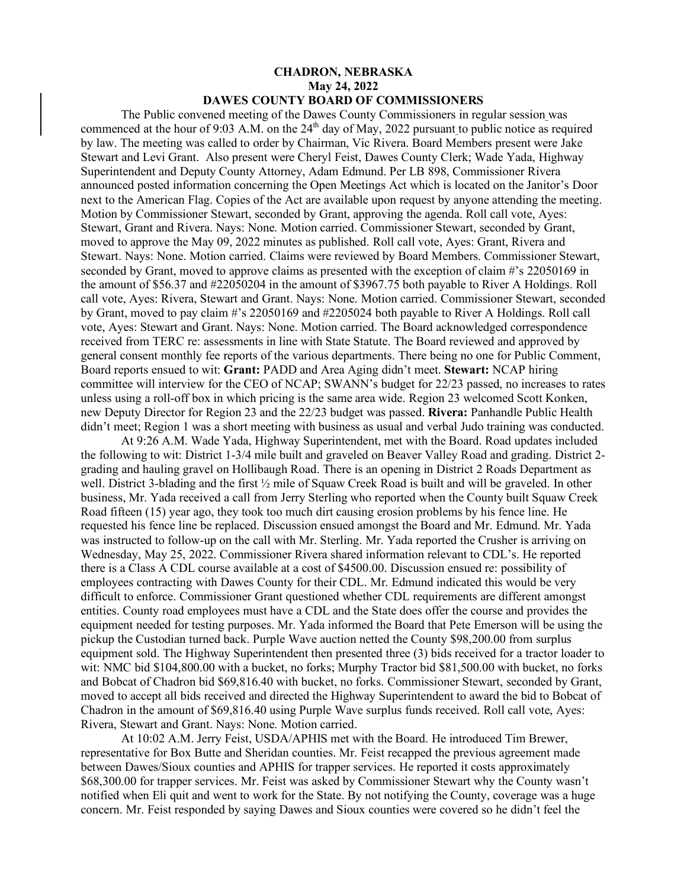## **CHADRON, NEBRASKA May 24, 2022 DAWES COUNTY BOARD OF COMMISSIONERS**

The Public convened meeting of the Dawes County Commissioners in regular session was commenced at the hour of 9:03 A.M. on the 24<sup>th</sup> day of May, 2022 pursuant to public notice as required by law. The meeting was called to order by Chairman, Vic Rivera. Board Members present were Jake Stewart and Levi Grant. Also present were Cheryl Feist, Dawes County Clerk; Wade Yada, Highway Superintendent and Deputy County Attorney, Adam Edmund. Per LB 898, Commissioner Rivera announced posted information concerning the Open Meetings Act which is located on the Janitor's Door next to the American Flag. Copies of the Act are available upon request by anyone attending the meeting. Motion by Commissioner Stewart, seconded by Grant, approving the agenda. Roll call vote, Ayes: Stewart, Grant and Rivera. Nays: None. Motion carried. Commissioner Stewart, seconded by Grant, moved to approve the May 09, 2022 minutes as published. Roll call vote, Ayes: Grant, Rivera and Stewart. Nays: None. Motion carried. Claims were reviewed by Board Members. Commissioner Stewart, seconded by Grant, moved to approve claims as presented with the exception of claim #'s 22050169 in the amount of \$56.37 and #22050204 in the amount of \$3967.75 both payable to River A Holdings. Roll call vote, Ayes: Rivera, Stewart and Grant. Nays: None. Motion carried. Commissioner Stewart, seconded by Grant, moved to pay claim #'s 22050169 and #2205024 both payable to River A Holdings. Roll call vote, Ayes: Stewart and Grant. Nays: None. Motion carried. The Board acknowledged correspondence received from TERC re: assessments in line with State Statute. The Board reviewed and approved by general consent monthly fee reports of the various departments. There being no one for Public Comment, Board reports ensued to wit: **Grant:** PADD and Area Aging didn't meet. **Stewart:** NCAP hiring committee will interview for the CEO of NCAP; SWANN's budget for 22/23 passed, no increases to rates unless using a roll-off box in which pricing is the same area wide. Region 23 welcomed Scott Konken, new Deputy Director for Region 23 and the 22/23 budget was passed. **Rivera:** Panhandle Public Health didn't meet; Region 1 was a short meeting with business as usual and verbal Judo training was conducted.

At 9:26 A.M. Wade Yada, Highway Superintendent, met with the Board. Road updates included the following to wit: District 1-3/4 mile built and graveled on Beaver Valley Road and grading. District 2 grading and hauling gravel on Hollibaugh Road. There is an opening in District 2 Roads Department as well. District 3-blading and the first ½ mile of Squaw Creek Road is built and will be graveled. In other business, Mr. Yada received a call from Jerry Sterling who reported when the County built Squaw Creek Road fifteen (15) year ago, they took too much dirt causing erosion problems by his fence line. He requested his fence line be replaced. Discussion ensued amongst the Board and Mr. Edmund. Mr. Yada was instructed to follow-up on the call with Mr. Sterling. Mr. Yada reported the Crusher is arriving on Wednesday, May 25, 2022. Commissioner Rivera shared information relevant to CDL's. He reported there is a Class A CDL course available at a cost of \$4500.00. Discussion ensued re: possibility of employees contracting with Dawes County for their CDL. Mr. Edmund indicated this would be very difficult to enforce. Commissioner Grant questioned whether CDL requirements are different amongst entities. County road employees must have a CDL and the State does offer the course and provides the equipment needed for testing purposes. Mr. Yada informed the Board that Pete Emerson will be using the pickup the Custodian turned back. Purple Wave auction netted the County \$98,200.00 from surplus equipment sold. The Highway Superintendent then presented three (3) bids received for a tractor loader to wit: NMC bid \$104,800.00 with a bucket, no forks; Murphy Tractor bid \$81,500.00 with bucket, no forks and Bobcat of Chadron bid \$69,816.40 with bucket, no forks. Commissioner Stewart, seconded by Grant, moved to accept all bids received and directed the Highway Superintendent to award the bid to Bobcat of Chadron in the amount of \$69,816.40 using Purple Wave surplus funds received. Roll call vote, Ayes: Rivera, Stewart and Grant. Nays: None. Motion carried.

At 10:02 A.M. Jerry Feist, USDA/APHIS met with the Board. He introduced Tim Brewer, representative for Box Butte and Sheridan counties. Mr. Feist recapped the previous agreement made between Dawes/Sioux counties and APHIS for trapper services. He reported it costs approximately \$68,300.00 for trapper services. Mr. Feist was asked by Commissioner Stewart why the County wasn't notified when Eli quit and went to work for the State. By not notifying the County, coverage was a huge concern. Mr. Feist responded by saying Dawes and Sioux counties were covered so he didn't feel the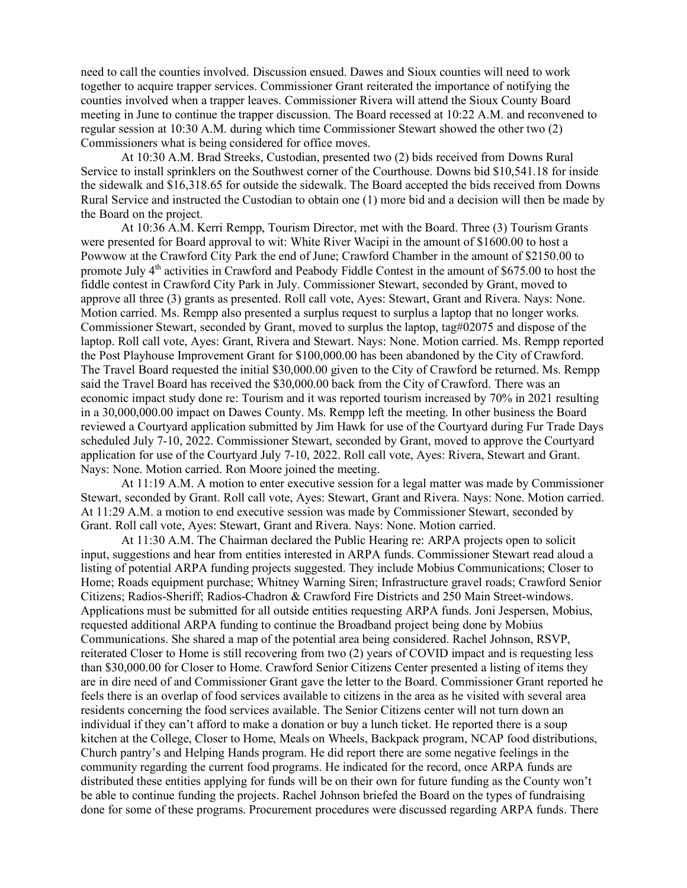need to call the counties involved. Discussion ensued. Dawes and Sioux counties will need to work together to acquire trapper services. Commissioner Grant reiterated the importance of notifying the counties involved when a trapper leaves. Commissioner Rivera will attend the Sioux County Board meeting in June to continue the trapper discussion. The Board recessed at 10:22 A.M. and reconvened to regular session at 10:30 A.M. during which time Commissioner Stewart showed the other two (2) Commissioners what is being considered for office moves.

At 10:30 A.M. Brad Streeks, Custodian, presented two (2) bids received from Downs Rural Service to install sprinklers on the Southwest corner of the Courthouse. Downs bid \$10,541.18 for inside the sidewalk and \$16,318.65 for outside the sidewalk. The Board accepted the bids received from Downs Rural Service and instructed the Custodian to obtain one (1) more bid and a decision will then be made by the Board on the project.

At 10:36 A.M. Kerri Rempp, Tourism Director, met with the Board. Three (3) Tourism Grants were presented for Board approval to wit: White River Wacipi in the amount of \$1600.00 to host a Powwow at the Crawford City Park the end of June; Crawford Chamber in the amount of \$2150.00 to promote July  $4<sup>th</sup>$  activities in Crawford and Peabody Fiddle Contest in the amount of \$675.00 to host the fiddle contest in Crawford City Park in July. Commissioner Stewart, seconded by Grant, moved to approve all three (3) grants as presented. Roll call vote, Ayes: Stewart, Grant and Rivera. Nays: None. Motion carried. Ms. Rempp also presented a surplus request to surplus a laptop that no longer works. Commissioner Stewart, seconded by Grant, moved to surplus the laptop, tag#02075 and dispose of the laptop. Roll call vote, Ayes: Grant, Rivera and Stewart. Nays: None. Motion carried. Ms. Rempp reported the Post Playhouse Improvement Grant for \$100,000.00 has been abandoned by the City of Crawford. The Travel Board requested the initial \$30,000.00 given to the City of Crawford be returned. Ms. Rempp said the Travel Board has received the \$30,000.00 back from the City of Crawford. There was an economic impact study done re: Tourism and it was reported tourism increased by 70% in 2021 resulting in a 30,000,000.00 impact on Dawes County. Ms. Rempp left the meeting. In other business the Board reviewed a Courtyard application submitted by Jim Hawk for use of the Courtyard during Fur Trade Days scheduled July 7-10, 2022. Commissioner Stewart, seconded by Grant, moved to approve the Courtyard application for use of the Courtyard July 7-10, 2022. Roll call vote, Ayes: Rivera, Stewart and Grant. Nays: None. Motion carried. Ron Moore joined the meeting.

At 11:19 A.M. A motion to enter executive session for a legal matter was made by Commissioner Stewart, seconded by Grant. Roll call vote, Ayes: Stewart, Grant and Rivera. Nays: None. Motion carried. At 11:29 A.M. a motion to end executive session was made by Commissioner Stewart, seconded by Grant. Roll call vote, Ayes: Stewart, Grant and Rivera. Nays: None. Motion carried.

At 11:30 A.M. The Chairman declared the Public Hearing re: ARPA projects open to solicit input, suggestions and hear from entities interested in ARPA funds. Commissioner Stewart read aloud a listing of potential ARPA funding projects suggested. They include Mobius Communications; Closer to Home; Roads equipment purchase; Whitney Warning Siren; Infrastructure gravel roads; Crawford Senior Citizens; Radios-Sheriff; Radios-Chadron & Crawford Fire Districts and 250 Main Street-windows. Applications must be submitted for all outside entities requesting ARPA funds. Joni Jespersen, Mobius, requested additional ARPA funding to continue the Broadband project being done by Mobius Communications. She shared a map of the potential area being considered. Rachel Johnson, RSVP, reiterated Closer to Home is still recovering from two (2) years of COVID impact and is requesting less than \$30,000.00 for Closer to Home. Crawford Senior Citizens Center presented a listing of items they are in dire need of and Commissioner Grant gave the letter to the Board. Commissioner Grant reported he feels there is an overlap of food services available to citizens in the area as he visited with several area residents concerning the food services available. The Senior Citizens center will not turn down an individual if they can't afford to make a donation or buy a lunch ticket. He reported there is a soup kitchen at the College, Closer to Home, Meals on Wheels, Backpack program, NCAP food distributions, Church pantry's and Helping Hands program. He did report there are some negative feelings in the community regarding the current food programs. He indicated for the record, once ARPA funds are distributed these entities applying for funds will be on their own for future funding as the County won't be able to continue funding the projects. Rachel Johnson briefed the Board on the types of fundraising done for some of these programs. Procurement procedures were discussed regarding ARPA funds. There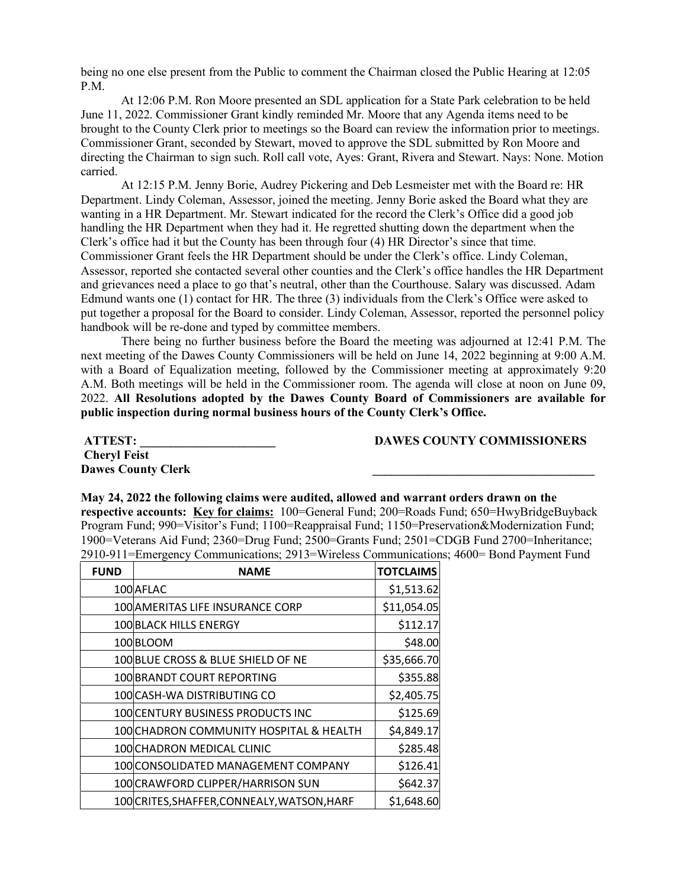being no one else present from the Public to comment the Chairman closed the Public Hearing at 12:05 P.M.

At 12:06 P.M. Ron Moore presented an SDL application for a State Park celebration to be held June 11, 2022. Commissioner Grant kindly reminded Mr. Moore that any Agenda items need to be brought to the County Clerk prior to meetings so the Board can review the information prior to meetings. Commissioner Grant, seconded by Stewart, moved to approve the SDL submitted by Ron Moore and directing the Chairman to sign such. Roll call vote, Ayes: Grant, Rivera and Stewart. Nays: None. Motion carried.

At 12:15 P.M. Jenny Borie, Audrey Pickering and Deb Lesmeister met with the Board re: HR Department. Lindy Coleman, Assessor, joined the meeting. Jenny Borie asked the Board what they are wanting in a HR Department. Mr. Stewart indicated for the record the Clerk's Office did a good job handling the HR Department when they had it. He regretted shutting down the department when the Clerk's office had it but the County has been through four (4) HR Director's since that time. Commissioner Grant feels the HR Department should be under the Clerk's office. Lindy Coleman, Assessor, reported she contacted several other counties and the Clerk's office handles the HR Department and grievances need a place to go that's neutral, other than the Courthouse. Salary was discussed. Adam Edmund wants one (1) contact for HR. The three (3) individuals from the Clerk's Office were asked to put together a proposal for the Board to consider. Lindy Coleman, Assessor, reported the personnel policy handbook will be re-done and typed by committee members.

There being no further business before the Board the meeting was adjourned at 12:41 P.M. The next meeting of the Dawes County Commissioners will be held on June 14, 2022 beginning at 9:00 A.M. with a Board of Equalization meeting, followed by the Commissioner meeting at approximately 9:20 A.M. Both meetings will be held in the Commissioner room. The agenda will close at noon on June 09, 2022. **All Resolutions adopted by the Dawes County Board of Commissioners are available for public inspection during normal business hours of the County Clerk's Office.**

 **Cheryl Feist Dawes County Clerk \_\_\_\_\_\_\_\_\_\_\_\_\_\_\_\_\_\_\_\_\_\_\_\_\_\_\_\_\_\_\_\_\_\_\_\_** 

 **ATTEST: \_\_\_\_\_\_\_\_\_\_\_\_\_\_\_\_\_\_\_\_\_\_ DAWES COUNTY COMMISSIONERS** 

## **May 24, 2022 the following claims were audited, allowed and warrant orders drawn on the respective accounts: Key for claims:** 100=General Fund; 200=Roads Fund; 650=HwyBridgeBuyback Program Fund; 990=Visitor's Fund; 1100=Reappraisal Fund; 1150=Preservation&Modernization Fund; 1900=Veterans Aid Fund; 2360=Drug Fund; 2500=Grants Fund; 2501=CDGB Fund 2700=Inheritance; 2910-911=Emergency Communications; 2913=Wireless Communications; 4600= Bond Payment Fund

| <b>FUND</b> | <b>NAME</b>                                 | <b>TOTCLAIMS</b> |
|-------------|---------------------------------------------|------------------|
|             | 100 AFLAC                                   | \$1,513.62       |
|             | 100 AMERITAS LIFE INSURANCE CORP            | \$11,054.05      |
|             | <b>100 BLACK HILLS ENERGY</b>               | \$112.17         |
|             | 100BLOOM                                    | \$48.00          |
|             | 100 BLUE CROSS & BLUE SHIELD OF NE          | \$35,666.70      |
|             | 100 BRANDT COURT REPORTING                  | \$355.88         |
|             | 100 CASH-WA DISTRIBUTING CO                 | \$2,405.75       |
|             | 100 CENTURY BUSINESS PRODUCTS INC           | \$125.69         |
|             | 100 CHADRON COMMUNITY HOSPITAL & HEALTH     | \$4,849.17       |
|             | 100 CHADRON MEDICAL CLINIC                  | \$285.48         |
|             | 100 CONSOLIDATED MANAGEMENT COMPANY         | \$126.41         |
|             | 100 CRAWFORD CLIPPER/HARRISON SUN           | \$642.37         |
|             | 100 CRITES, SHAFFER, CONNEALY, WATSON, HARF | \$1,648.60       |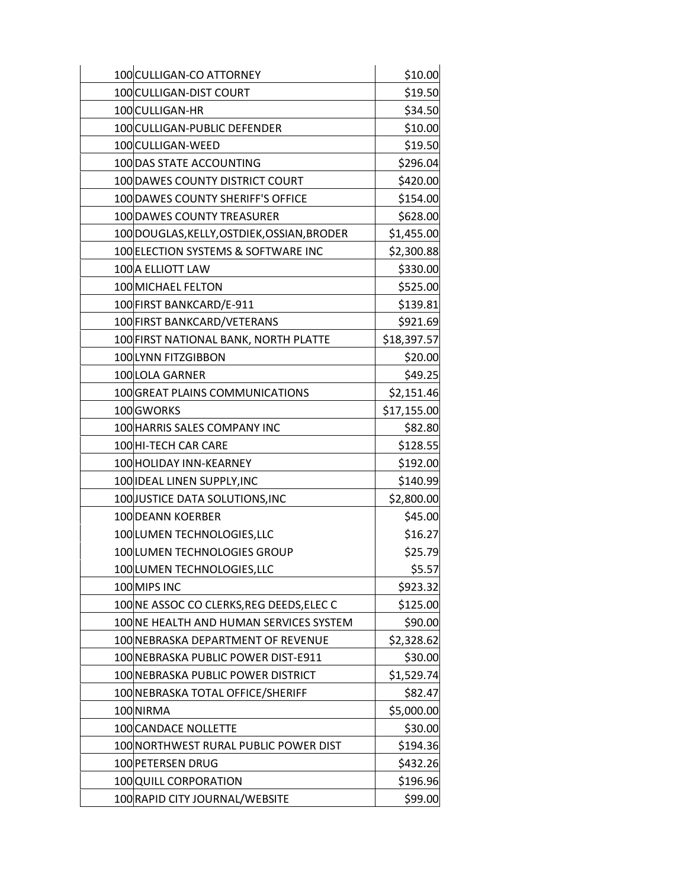| 100 CULLIGAN-CO ATTORNEY                    | \$10.00     |
|---------------------------------------------|-------------|
| 100 CULLIGAN-DIST COURT                     | \$19.50     |
| 100 CULLIGAN-HR                             | \$34.50     |
| 100 CULLIGAN-PUBLIC DEFENDER                | \$10.00     |
| 100 CULLIGAN-WEED                           | \$19.50     |
| 100 DAS STATE ACCOUNTING                    | \$296.04    |
| 100 DAWES COUNTY DISTRICT COURT             | \$420.00    |
| 100 DAWES COUNTY SHERIFF'S OFFICE           | \$154.00    |
| 100 DAWES COUNTY TREASURER                  | \$628.00    |
| 100 DOUGLAS, KELLY, OSTDIEK, OSSIAN, BRODER | \$1,455.00  |
| 100 ELECTION SYSTEMS & SOFTWARE INC         | \$2,300.88  |
| 100 A ELLIOTT LAW                           | \$330.00    |
| 100 MICHAEL FELTON                          | \$525.00    |
| 100 FIRST BANKCARD/E-911                    | \$139.81    |
| 100 FIRST BANKCARD/VETERANS                 | \$921.69    |
| 100 FIRST NATIONAL BANK, NORTH PLATTE       | \$18,397.57 |
| 100 LYNN FITZGIBBON                         | \$20.00     |
| 100 LOLA GARNER                             | \$49.25     |
| 100 GREAT PLAINS COMMUNICATIONS             | \$2,151.46  |
| 100GWORKS                                   | \$17,155.00 |
| 100 HARRIS SALES COMPANY INC                | \$82.80     |
| 100 HI-TECH CAR CARE                        | \$128.55    |
| 100 HOLIDAY INN-KEARNEY                     | \$192.00    |
| 100 IDEAL LINEN SUPPLY, INC                 | \$140.99    |
| 100 JUSTICE DATA SOLUTIONS, INC             | \$2,800.00  |
| 100 DEANN KOERBER                           | \$45.00     |
| 100 LUMEN TECHNOLOGIES, LLC                 | \$16.27     |
| 100 LUMEN TECHNOLOGIES GROUP                | \$25.79     |
| 100 LUMEN TECHNOLOGIES, LLC                 | \$5.57      |
| 100 MIPS INC                                | \$923.32    |
| 100 NE ASSOC CO CLERKS, REG DEEDS, ELEC C   | \$125.00    |
| 100 NE HEALTH AND HUMAN SERVICES SYSTEM     | \$90.00     |
| 100 NEBRASKA DEPARTMENT OF REVENUE          | \$2,328.62  |
| 100 NEBRASKA PUBLIC POWER DIST-E911         | \$30.00     |
| 100 NEBRASKA PUBLIC POWER DISTRICT          | \$1,529.74  |
| 100 NEBRASKA TOTAL OFFICE/SHERIFF           | \$82.47     |
| 100 NIRMA                                   | \$5,000.00  |
| 100 CANDACE NOLLETTE                        | \$30.00     |
| 100 NORTHWEST RURAL PUBLIC POWER DIST       | \$194.36    |
| 100 PETERSEN DRUG                           | \$432.26    |
| 100 QUILL CORPORATION                       | \$196.96    |
| 100 RAPID CITY JOURNAL/WEBSITE              | \$99.00     |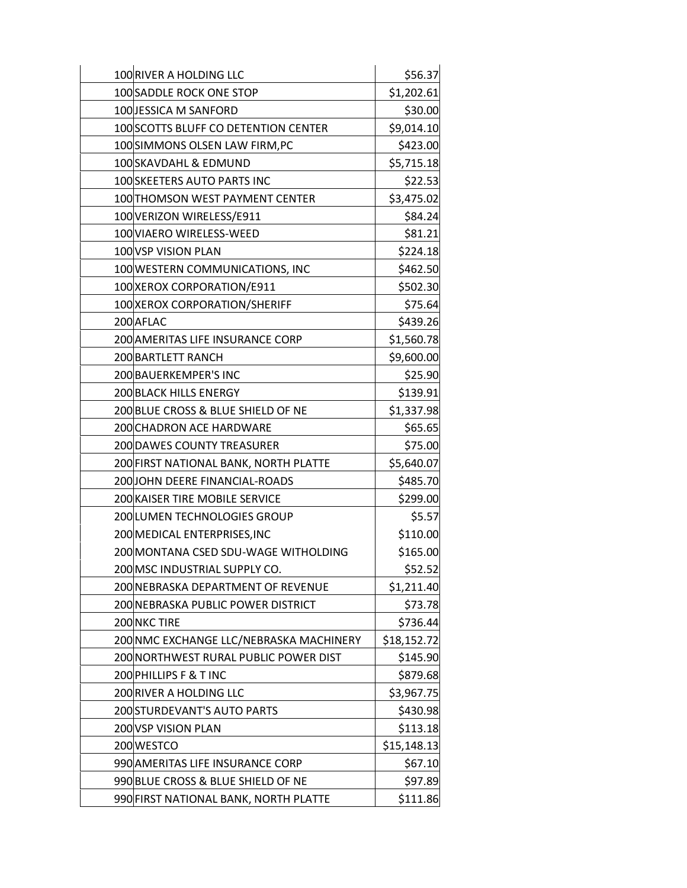| 100 RIVER A HOLDING LLC                 | \$56.37     |
|-----------------------------------------|-------------|
| 100 SADDLE ROCK ONE STOP                | \$1,202.61  |
| 100 JESSICA M SANFORD                   | \$30.00     |
| 100 SCOTTS BLUFF CO DETENTION CENTER    | \$9,014.10  |
| 100 SIMMONS OLSEN LAW FIRM, PC          | \$423.00    |
| 100SKAVDAHL & EDMUND                    | \$5,715.18  |
| 100 SKEETERS AUTO PARTS INC             | \$22.53     |
| 100 THOMSON WEST PAYMENT CENTER         | \$3,475.02  |
| 100 VERIZON WIRELESS/E911               | \$84.24     |
| 100 VIAERO WIRELESS-WEED                | \$81.21     |
| 100 VSP VISION PLAN                     | \$224.18    |
| 100 WESTERN COMMUNICATIONS, INC         | \$462.50    |
| 100 XEROX CORPORATION/E911              | \$502.30    |
| 100 XEROX CORPORATION/SHERIFF           | \$75.64     |
| 200 AFLAC                               | \$439.26    |
| 200 AMERITAS LIFE INSURANCE CORP        | \$1,560.78  |
| 200 BARTLETT RANCH                      | \$9,600.00  |
| 200 BAUERKEMPER'S INC                   | \$25.90     |
| 200 BLACK HILLS ENERGY                  | \$139.91    |
| 200 BLUE CROSS & BLUE SHIELD OF NE      | \$1,337.98  |
| 200 CHADRON ACE HARDWARE                | \$65.65     |
| 200 DAWES COUNTY TREASURER              | \$75.00     |
| 200 FIRST NATIONAL BANK, NORTH PLATTE   | \$5,640.07  |
| 200JOHN DEERE FINANCIAL-ROADS           | \$485.70    |
| 200 KAISER TIRE MOBILE SERVICE          | \$299.00    |
| 200LUMEN TECHNOLOGIES GROUP             | \$5.57      |
| 200 MEDICAL ENTERPRISES, INC            | \$110.00    |
| 200 MONTANA CSED SDU-WAGE WITHOLDING    | \$165.00    |
| 200 MSC INDUSTRIAL SUPPLY CO.           | \$52.52     |
| 200 NEBRASKA DEPARTMENT OF REVENUE      | \$1,211.40  |
| 200 NEBRASKA PUBLIC POWER DISTRICT      | \$73.78     |
| 200 NKC TIRE                            | \$736.44    |
| 200 NMC EXCHANGE LLC/NEBRASKA MACHINERY | \$18,152.72 |
| 200 NORTHWEST RURAL PUBLIC POWER DIST   | \$145.90    |
| 200 PHILLIPS F & T INC                  | \$879.68    |
| 200 RIVER A HOLDING LLC                 | \$3,967.75  |
| 200 STURDEVANT'S AUTO PARTS             | \$430.98    |
| 200 VSP VISION PLAN                     | \$113.18    |
| 200 WESTCO                              | \$15,148.13 |
| 990 AMERITAS LIFE INSURANCE CORP        | \$67.10     |
| 990 BLUE CROSS & BLUE SHIELD OF NE      | \$97.89     |
| 990 FIRST NATIONAL BANK, NORTH PLATTE   | \$111.86    |